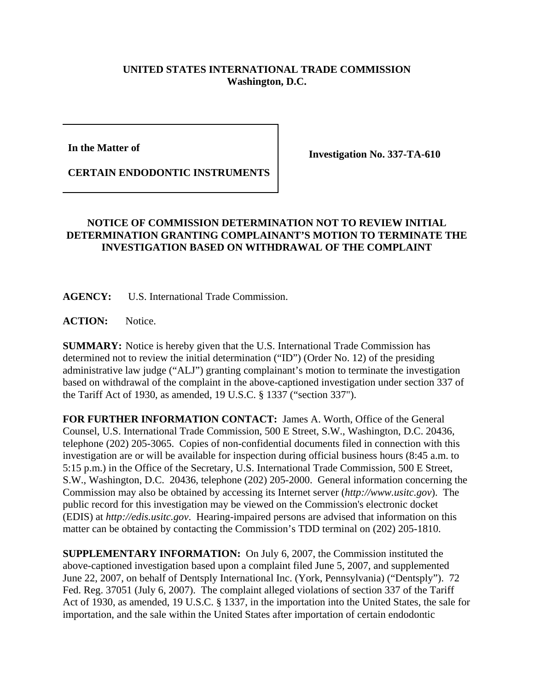## **UNITED STATES INTERNATIONAL TRADE COMMISSION Washington, D.C.**

**In the Matter of**

**Investigation No. 337-TA-610**

**CERTAIN ENDODONTIC INSTRUMENTS**

## **NOTICE OF COMMISSION DETERMINATION NOT TO REVIEW INITIAL DETERMINATION GRANTING COMPLAINANT'S MOTION TO TERMINATE THE INVESTIGATION BASED ON WITHDRAWAL OF THE COMPLAINT**

**AGENCY:** U.S. International Trade Commission.

ACTION: Notice.

**SUMMARY:** Notice is hereby given that the U.S. International Trade Commission has determined not to review the initial determination ("ID") (Order No. 12) of the presiding administrative law judge ("ALJ") granting complainant's motion to terminate the investigation based on withdrawal of the complaint in the above-captioned investigation under section 337 of the Tariff Act of 1930, as amended, 19 U.S.C. § 1337 ("section 337").

**FOR FURTHER INFORMATION CONTACT:** James A. Worth, Office of the General Counsel, U.S. International Trade Commission, 500 E Street, S.W., Washington, D.C. 20436, telephone (202) 205-3065. Copies of non-confidential documents filed in connection with this investigation are or will be available for inspection during official business hours (8:45 a.m. to 5:15 p.m.) in the Office of the Secretary, U.S. International Trade Commission, 500 E Street, S.W., Washington, D.C. 20436, telephone (202) 205-2000. General information concerning the Commission may also be obtained by accessing its Internet server (*http://www.usitc.gov*). The public record for this investigation may be viewed on the Commission's electronic docket (EDIS) at *http://edis.usitc.gov*. Hearing-impaired persons are advised that information on this matter can be obtained by contacting the Commission's TDD terminal on (202) 205-1810.

**SUPPLEMENTARY INFORMATION:** On July 6, 2007, the Commission instituted the above-captioned investigation based upon a complaint filed June 5, 2007, and supplemented June 22, 2007, on behalf of Dentsply International Inc. (York, Pennsylvania) ("Dentsply"). 72 Fed. Reg. 37051 (July 6, 2007). The complaint alleged violations of section 337 of the Tariff Act of 1930, as amended, 19 U.S.C. § 1337, in the importation into the United States, the sale for importation, and the sale within the United States after importation of certain endodontic